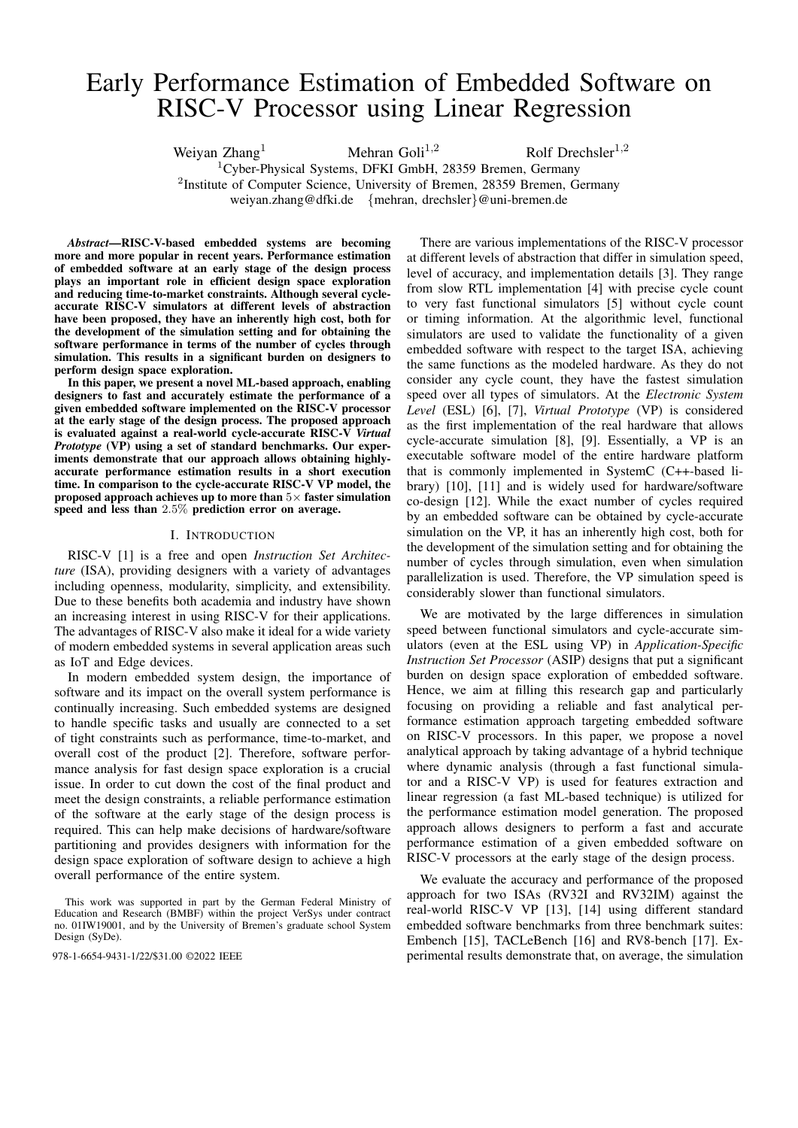# Early Performance Estimation of Embedded Software on RISC-V Processor using Linear Regression

Weiyan Zhang<sup>1</sup> Mehran Goli<sup>1,2</sup> Rolf Drechsler<sup>1,2</sup> <sup>1</sup>Cyber-Physical Systems, DFKI GmbH, 28359 Bremen, Germany <sup>2</sup>Institute of Computer Science, University of Bremen, 28359 Bremen, Germany weiyan.zhang@dfki.de {mehran, drechsler}@uni-bremen.de

*Abstract*—RISC-V-based embedded systems are becoming more and more popular in recent years. Performance estimation of embedded software at an early stage of the design process plays an important role in efficient design space exploration and reducing time-to-market constraints. Although several cycleaccurate RISC-V simulators at different levels of abstraction have been proposed, they have an inherently high cost, both for the development of the simulation setting and for obtaining the software performance in terms of the number of cycles through simulation. This results in a significant burden on designers to perform design space exploration.

In this paper, we present a novel ML-based approach, enabling designers to fast and accurately estimate the performance of a given embedded software implemented on the RISC-V processor at the early stage of the design process. The proposed approach is evaluated against a real-world cycle-accurate RISC-V *Virtual Prototype* (VP) using a set of standard benchmarks. Our experiments demonstrate that our approach allows obtaining highlyaccurate performance estimation results in a short execution time. In comparison to the cycle-accurate RISC-V VP model, the proposed approach achieves up to more than  $5\times$  faster simulation speed and less than 2.5% prediction error on average.

# I. INTRODUCTION

RISC-V [\[1\]](#page-5-0) is a free and open *Instruction Set Architecture* (ISA), providing designers with a variety of advantages including openness, modularity, simplicity, and extensibility. Due to these benefits both academia and industry have shown an increasing interest in using RISC-V for their applications. The advantages of RISC-V also make it ideal for a wide variety of modern embedded systems in several application areas such as IoT and Edge devices.

In modern embedded system design, the importance of software and its impact on the overall system performance is continually increasing. Such embedded systems are designed to handle specific tasks and usually are connected to a set of tight constraints such as performance, time-to-market, and overall cost of the product [\[2\]](#page-5-1). Therefore, software performance analysis for fast design space exploration is a crucial issue. In order to cut down the cost of the final product and meet the design constraints, a reliable performance estimation of the software at the early stage of the design process is required. This can help make decisions of hardware/software partitioning and provides designers with information for the design space exploration of software design to achieve a high overall performance of the entire system.

There are various implementations of the RISC-V processor at different levels of abstraction that differ in simulation speed, level of accuracy, and implementation details [\[3\]](#page-5-2). They range from slow RTL implementation [\[4\]](#page-5-3) with precise cycle count to very fast functional simulators [\[5\]](#page-5-4) without cycle count or timing information. At the algorithmic level, functional simulators are used to validate the functionality of a given embedded software with respect to the target ISA, achieving the same functions as the modeled hardware. As they do not consider any cycle count, they have the fastest simulation speed over all types of simulators. At the *Electronic System Level* (ESL) [\[6\]](#page-5-5), [\[7\]](#page-5-6), *Virtual Prototype* (VP) is considered as the first implementation of the real hardware that allows cycle-accurate simulation [\[8\]](#page-5-7), [\[9\]](#page-5-8). Essentially, a VP is an executable software model of the entire hardware platform that is commonly implemented in SystemC (C++-based library) [\[10\]](#page-5-9), [\[11\]](#page-5-10) and is widely used for hardware/software co-design [\[12\]](#page-5-11). While the exact number of cycles required by an embedded software can be obtained by cycle-accurate simulation on the VP, it has an inherently high cost, both for the development of the simulation setting and for obtaining the number of cycles through simulation, even when simulation parallelization is used. Therefore, the VP simulation speed is considerably slower than functional simulators.

We are motivated by the large differences in simulation speed between functional simulators and cycle-accurate simulators (even at the ESL using VP) in *Application-Specific Instruction Set Processor* (ASIP) designs that put a significant burden on design space exploration of embedded software. Hence, we aim at filling this research gap and particularly focusing on providing a reliable and fast analytical performance estimation approach targeting embedded software on RISC-V processors. In this paper, we propose a novel analytical approach by taking advantage of a hybrid technique where dynamic analysis (through a fast functional simulator and a RISC-V VP) is used for features extraction and linear regression (a fast ML-based technique) is utilized for the performance estimation model generation. The proposed approach allows designers to perform a fast and accurate performance estimation of a given embedded software on RISC-V processors at the early stage of the design process.

We evaluate the accuracy and performance of the proposed approach for two ISAs (RV32I and RV32IM) against the real-world RISC-V VP [\[13\]](#page-5-12), [\[14\]](#page-5-13) using different standard embedded software benchmarks from three benchmark suites: Embench [\[15\]](#page-5-14), TACLeBench [\[16\]](#page-5-15) and RV8-bench [\[17\]](#page-5-16). Ex-978-1-6654-9431-1/22/\$31.00 ©2022 IEEE perimental results demonstrate that, on average, the simulation

This work was supported in part by the German Federal Ministry of Education and Research (BMBF) within the project VerSys under contract no. 01IW19001, and by the University of Bremen's graduate school System Design (SyDe).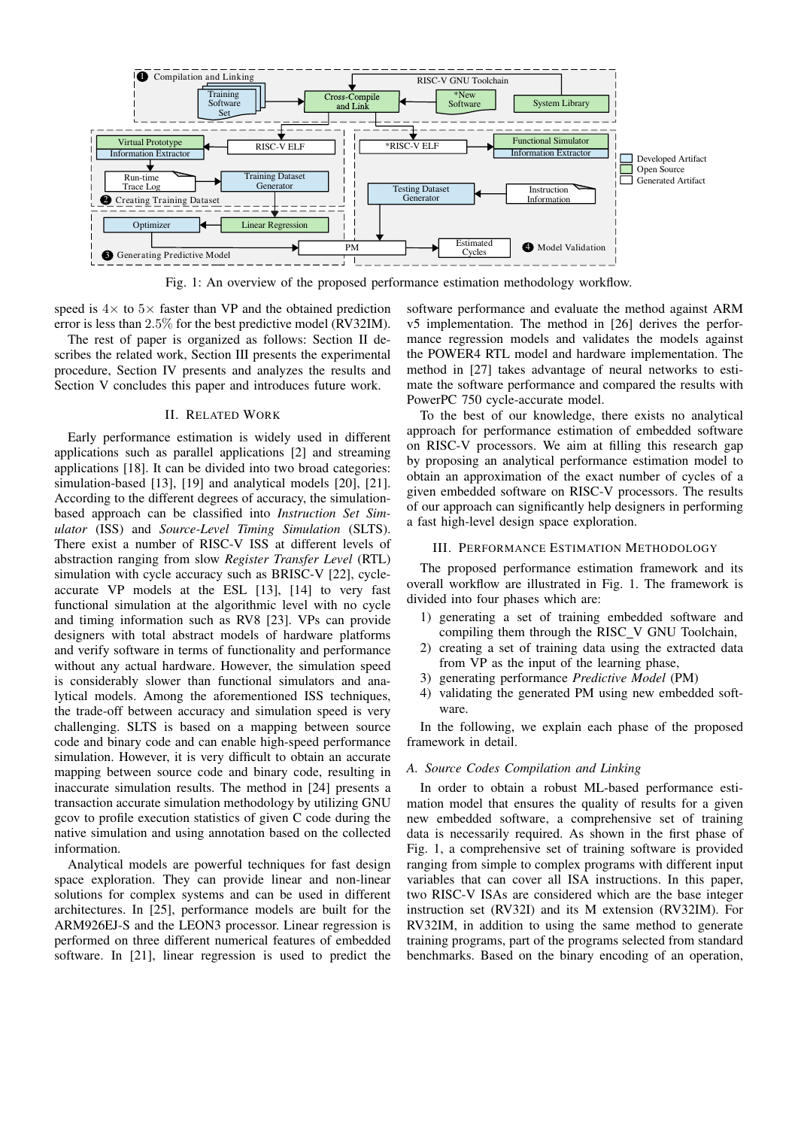<span id="page-1-0"></span>

Fig. 1: An overview of the proposed performance estimation methodology workflow.

speed is  $4\times$  to  $5\times$  faster than VP and the obtained prediction error is less than 2.5% for the best predictive model (RV32IM).

The rest of paper is organized as follows: Section II describes the related work, Section III presents the experimental procedure, Section IV presents and analyzes the results and Section V concludes this paper and introduces future work.

### II. RELATED WORK

Early performance estimation is widely used in different applications such as parallel applications [\[2\]](#page-5-1) and streaming applications [\[18\]](#page-5-17). It can be divided into two broad categories: simulation-based [\[13\]](#page-5-12), [\[19\]](#page-5-18) and analytical models [\[20\]](#page-5-19), [\[21\]](#page-5-20). According to the different degrees of accuracy, the simulationbased approach can be classified into *Instruction Set Simulator* (ISS) and *Source-Level Timing Simulation* (SLTS). There exist a number of RISC-V ISS at different levels of abstraction ranging from slow *Register Transfer Level* (RTL) simulation with cycle accuracy such as BRISC-V [\[22\]](#page-5-21), cycleaccurate VP models at the ESL [\[13\]](#page-5-12), [\[14\]](#page-5-13) to very fast functional simulation at the algorithmic level with no cycle and timing information such as RV8 [\[23\]](#page-5-22). VPs can provide designers with total abstract models of hardware platforms and verify software in terms of functionality and performance without any actual hardware. However, the simulation speed is considerably slower than functional simulators and analytical models. Among the aforementioned ISS techniques, the trade-off between accuracy and simulation speed is very challenging. SLTS is based on a mapping between source code and binary code and can enable high-speed performance simulation. However, it is very difficult to obtain an accurate mapping between source code and binary code, resulting in inaccurate simulation results. The method in [\[24\]](#page-5-23) presents a transaction accurate simulation methodology by utilizing GNU gcov to profile execution statistics of given C code during the native simulation and using annotation based on the collected information.

Analytical models are powerful techniques for fast design space exploration. They can provide linear and non-linear solutions for complex systems and can be used in different architectures. In [\[25\]](#page-5-24), performance models are built for the ARM926EJ-S and the LEON3 processor. Linear regression is performed on three different numerical features of embedded software. In [\[21\]](#page-5-20), linear regression is used to predict the

software performance and evaluate the method against ARM v5 implementation. The method in [\[26\]](#page-5-25) derives the performance regression models and validates the models against the POWER4 RTL model and hardware implementation. The method in [\[27\]](#page-5-26) takes advantage of neural networks to estimate the software performance and compared the results with PowerPC 750 cycle-accurate model.

To the best of our knowledge, there exists no analytical approach for performance estimation of embedded software on RISC-V processors. We aim at filling this research gap by proposing an analytical performance estimation model to obtain an approximation of the exact number of cycles of a given embedded software on RISC-V processors. The results of our approach can significantly help designers in performing a fast high-level design space exploration.

#### III. PERFORMANCE ESTIMATION METHODOLOGY

The proposed performance estimation framework and its overall workflow are illustrated in Fig. [1.](#page-1-0) The framework is divided into four phases which are:

- 1) generating a set of training embedded software and compiling them through the RISC\_V GNU Toolchain,
- 2) creating a set of training data using the extracted data from VP as the input of the learning phase,
- 3) generating performance *Predictive Model* (PM)
- 4) validating the generated PM using new embedded software.

In the following, we explain each phase of the proposed framework in detail.

# <span id="page-1-1"></span>*A. Source Codes Compilation and Linking*

In order to obtain a robust ML-based performance estimation model that ensures the quality of results for a given new embedded software, a comprehensive set of training data is necessarily required. As shown in the first phase of Fig. [1,](#page-1-0) a comprehensive set of training software is provided ranging from simple to complex programs with different input variables that can cover all ISA instructions. In this paper, two RISC-V ISAs are considered which are the base integer instruction set (RV32I) and its M extension (RV32IM). For RV32IM, in addition to using the same method to generate training programs, part of the programs selected from standard benchmarks. Based on the binary encoding of an operation,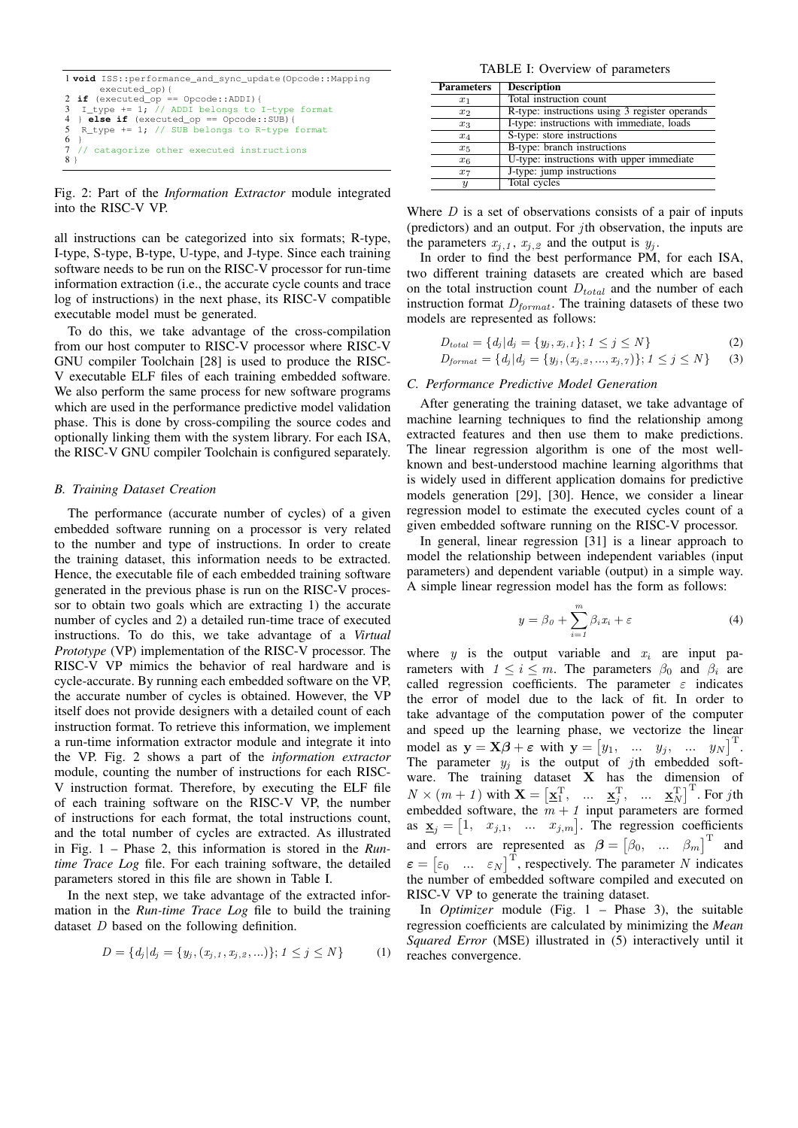<span id="page-2-0"></span>

|                | 1 <b>void</b> ISS::performance_and_sync_update(Opcode::Mapping |
|----------------|----------------------------------------------------------------|
|                | executed_op) {                                                 |
|                | 2 if (executed_op == Opcode::ADDI) {                           |
|                | 3 I_type += 1; // ADDI belongs to I-type format                |
|                | 4 } else if $(executed_op == Opcode::SUB)$ {                   |
|                | 5 R type $+= 1$ ; // SUB belongs to R-type format              |
|                | 6 }                                                            |
|                | 7 // catagorize other executed instructions                    |
| 8 <sup>1</sup> |                                                                |

Fig. 2: Part of the *Information Extractor* module integrated into the RISC-V VP.

all instructions can be categorized into six formats; R-type, I-type, S-type, B-type, U-type, and J-type. Since each training software needs to be run on the RISC-V processor for run-time information extraction (i.e., the accurate cycle counts and trace log of instructions) in the next phase, its RISC-V compatible executable model must be generated.

To do this, we take advantage of the cross-compilation from our host computer to RISC-V processor where RISC-V GNU compiler Toolchain [\[28\]](#page-5-27) is used to produce the RISC-V executable ELF files of each training embedded software. We also perform the same process for new software programs which are used in the performance predictive model validation phase. This is done by cross-compiling the source codes and optionally linking them with the system library. For each ISA, the RISC-V GNU compiler Toolchain is configured separately.

### *B. Training Dataset Creation*

The performance (accurate number of cycles) of a given embedded software running on a processor is very related to the number and type of instructions. In order to create the training dataset, this information needs to be extracted. Hence, the executable file of each embedded training software generated in the previous phase is run on the RISC-V processor to obtain two goals which are extracting 1) the accurate number of cycles and 2) a detailed run-time trace of executed instructions. To do this, we take advantage of a *Virtual Prototype* (VP) implementation of the RISC-V processor. The RISC-V VP mimics the behavior of real hardware and is cycle-accurate. By running each embedded software on the VP, the accurate number of cycles is obtained. However, the VP itself does not provide designers with a detailed count of each instruction format. To retrieve this information, we implement a run-time information extractor module and integrate it into the VP. Fig. [2](#page-2-0) shows a part of the *information extractor* module, counting the number of instructions for each RISC-V instruction format. Therefore, by executing the ELF file of each training software on the RISC-V VP, the number of instructions for each format, the total instructions count, and the total number of cycles are extracted. As illustrated in Fig. [1](#page-1-0) – Phase 2, this information is stored in the *Runtime Trace Log* file. For each training software, the detailed parameters stored in this file are shown in Table [I.](#page-2-1)

In the next step, we take advantage of the extracted information in the *Run-time Trace Log* file to build the training dataset D based on the following definition.

$$
D = \{d_j | d_j = \{y_j, (x_{j,1}, x_{j,2}, \ldots)\}; 1 \le j \le N\}
$$
 (1)

TABLE I: Overview of parameters

<span id="page-2-1"></span>

| <b>Parameters</b> | <b>Description</b>                             |
|-------------------|------------------------------------------------|
| $x_1$             | Total instruction count                        |
| x <sub>2</sub>    | R-type: instructions using 3 register operands |
| $x_3$             | I-type: instructions with immediate, loads     |
| $x_4$             | S-type: store instructions                     |
| $x_5$             | B-type: branch instructions                    |
| $x_6$             | U-type: instructions with upper immediate      |
| $x_7$             | J-type: jump instructions                      |
| $\boldsymbol{y}$  | Total cycles                                   |

Where  $D$  is a set of observations consists of a pair of inputs (predictors) and an output. For  $j$ th observation, the inputs are the parameters  $x_{j,1}$ ,  $x_{j,2}$  and the output is  $y_j$ .

In order to find the best performance PM, for each ISA, two different training datasets are created which are based on the total instruction count  $D_{total}$  and the number of each instruction format  $D_{format}$ . The training datasets of these two models are represented as follows:

$$
D_{total} = \{ d_j | d_j = \{ y_j, x_{j,1} \}; 1 \le j \le N \}
$$
\n<sup>(2)</sup>

$$
D_{format} = \{d_j | d_j = \{y_j, (x_{j,2}, ..., x_{j,7})\}; 1 \leq j \leq N\}
$$
 (3)

#### *C. Performance Predictive Model Generation*

After generating the training dataset, we take advantage of machine learning techniques to find the relationship among extracted features and then use them to make predictions. The linear regression algorithm is one of the most wellknown and best-understood machine learning algorithms that is widely used in different application domains for predictive models generation [\[29\]](#page-5-28), [\[30\]](#page-5-29). Hence, we consider a linear regression model to estimate the executed cycles count of a given embedded software running on the RISC-V processor.

In general, linear regression [\[31\]](#page-5-30) is a linear approach to model the relationship between independent variables (input parameters) and dependent variable (output) in a simple way. A simple linear regression model has the form as follows:

$$
y = \beta_0 + \sum_{i=1}^{m} \beta_i x_i + \varepsilon \tag{4}
$$

where y is the output variable and  $x_i$  are input parameters with  $1 \leq i \leq m$ . The parameters  $\beta_0$  and  $\beta_i$  are called regression coefficients. The parameter  $\varepsilon$  indicates the error of model due to the lack of fit. In order to take advantage of the computation power of the computer and speed up the learning phase, we vectorize the linear model as  $y = X\beta + \varepsilon$  with  $y = [y_1, \dots, y_j, \dots, y_N]^T$ . The parameter  $y_j$  is the output of jth embedded software. The training dataset  $X$  has the dimension of  $N \times (m+1)$  with  $\mathbf{X} = \begin{bmatrix} \mathbf{x}_1^{\mathrm{T}}, & \dots & \mathbf{x}_j^{\mathrm{T}}, & \dots & \mathbf{x}_N^{\mathrm{T}} \end{bmatrix}^{\mathrm{T}}$ . For jth embedded software, the  $m + 1$  input parameters are formed as  $\underline{\mathbf{x}}_j = \begin{bmatrix} 1, & x_{j,1}, & \dots & x_{j,m} \end{bmatrix}$ . The regression coefficients and errors are represented as  $\beta = [\beta_0, \dots, \beta_m]^T$  and  $\varepsilon = \begin{bmatrix} \varepsilon_0 & \dots & \varepsilon_N \end{bmatrix}^\mathrm{T}$ , respectively. The parameter N indicates the number of embedded software compiled and executed on RISC-V VP to generate the training dataset.

In *Optimizer* module (Fig. [1](#page-1-0) – Phase 3), the suitable regression coefficients are calculated by minimizing the *Mean Squared Error* (MSE) illustrated in [\(5\)](#page-3-0) interactively until it reaches convergence.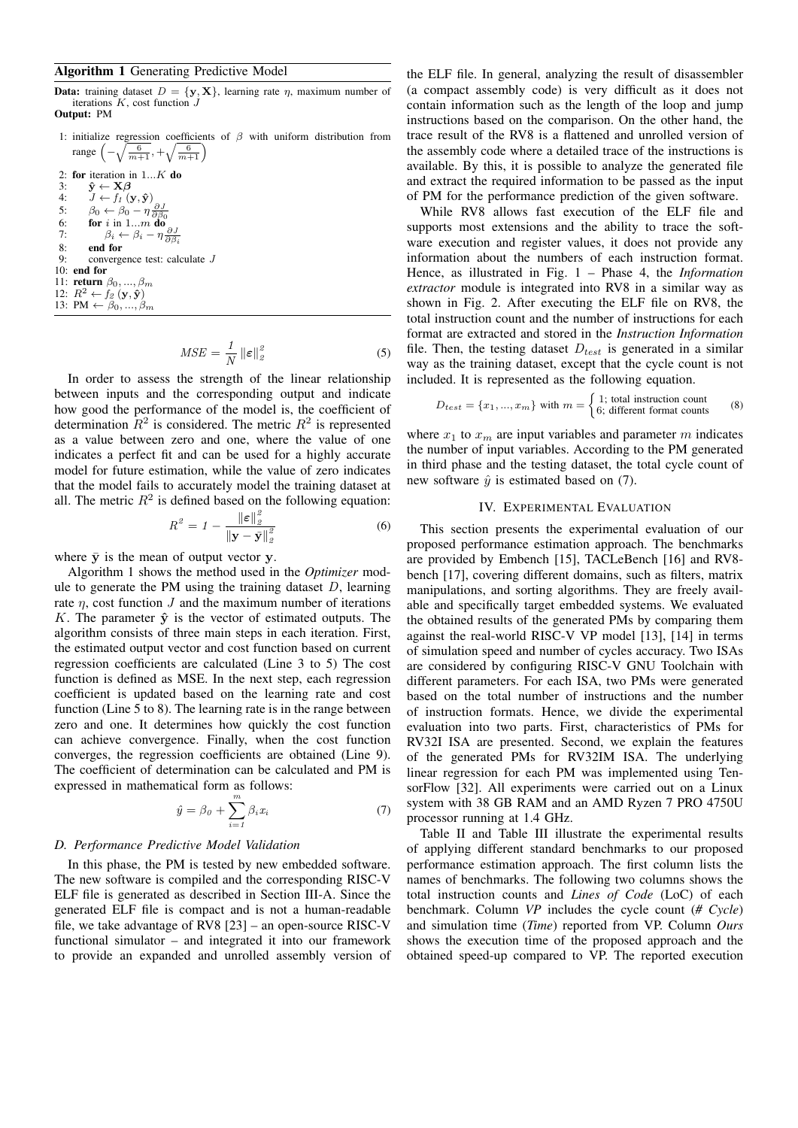# <span id="page-3-1"></span>Algorithm 1 Generating Predictive Model

**Data:** training dataset  $D = \{y, X\}$ , learning rate  $\eta$ , maximum number of iterations  $K$ , cost function  $J$ Output: PM

- 1: initialize regression coefficients of  $\beta$  with uniform distribution from range  $\left(-\sqrt{\frac{6}{m+1}}, +\sqrt{\frac{6}{m+1}}\right)$ 2: for iteration in 1...K do<br>3:  $\hat{\mathbf{v}} \leftarrow \mathbf{X}\boldsymbol{\beta}$ 3:  $\hat{\mathbf{y}} \leftarrow \mathbf{X}\boldsymbol{\beta}$ <br>4:  $J \leftarrow f_1$  (y 4:  $J \leftarrow f_1(\mathbf{y}, \hat{\mathbf{y}})$ 5:  $\beta_0 \leftarrow \beta_0 - \eta \frac{\partial J}{\partial \beta_0}$ 6: for  $i$  in 1...m do 7:  $\beta_i \leftarrow \beta_i - \eta \frac{\partial J}{\partial \beta_i}$
- 8: **end for**<br>9: **converge** convergence test: calculate  $J$ 10: end for
- 11: **return**  $\beta_0, ..., \beta_m$ 12:  $R^2 \leftarrow f_2(\mathbf{y}, \hat{\mathbf{y}})$
- 13: PM  $\leftarrow \beta_0, ..., \beta_m$

$$
MSE = \frac{1}{N} \left\| \boldsymbol{\varepsilon} \right\|_2^2 \tag{5}
$$

In order to assess the strength of the linear relationship between inputs and the corresponding output and indicate how good the performance of the model is, the coefficient of determination  $R^2$  is considered. The metric  $R^2$  is represented as a value between zero and one, where the value of one indicates a perfect fit and can be used for a highly accurate model for future estimation, while the value of zero indicates that the model fails to accurately model the training dataset at all. The metric  $R^2$  is defined based on the following equation:

$$
R^2 = 1 - \frac{\|\varepsilon\|_2^2}{\|\mathbf{y} - \bar{\mathbf{y}}\|_2^2}
$$
 (6)

where  $\bar{y}$  is the mean of output vector y.

Algorithm [1](#page-3-1) shows the method used in the *Optimizer* module to generate the PM using the training dataset  $D$ , learning rate  $\eta$ , cost function  $J$  and the maximum number of iterations K. The parameter  $\hat{y}$  is the vector of estimated outputs. The algorithm consists of three main steps in each iteration. First, the estimated output vector and cost function based on current regression coefficients are calculated (Line [3](#page-3-1) to [5\)](#page-3-1) The cost function is defined as MSE. In the next step, each regression coefficient is updated based on the learning rate and cost function (Line [5](#page-3-1) to [8\)](#page-3-1). The learning rate is in the range between zero and one. It determines how quickly the cost function can achieve convergence. Finally, when the cost function converges, the regression coefficients are obtained (Line [9\)](#page-3-1). The coefficient of determination can be calculated and PM is expressed in mathematical form as follows:

$$
\hat{y} = \beta_0 + \sum_{i=1}^{m} \beta_i x_i \tag{7}
$$

## *D. Performance Predictive Model Validation*

In this phase, the PM is tested by new embedded software. The new software is compiled and the corresponding RISC-V ELF file is generated as described in Section [III-A.](#page-1-1) Since the generated ELF file is compact and is not a human-readable file, we take advantage of RV8 [\[23\]](#page-5-22) – an open-source RISC-V functional simulator – and integrated it into our framework to provide an expanded and unrolled assembly version of

the ELF file. In general, analyzing the result of disassembler (a compact assembly code) is very difficult as it does not contain information such as the length of the loop and jump instructions based on the comparison. On the other hand, the trace result of the RV8 is a flattened and unrolled version of the assembly code where a detailed trace of the instructions is available. By this, it is possible to analyze the generated file and extract the required information to be passed as the input of PM for the performance prediction of the given software.

While RV8 allows fast execution of the ELF file and supports most extensions and the ability to trace the software execution and register values, it does not provide any information about the numbers of each instruction format. Hence, as illustrated in Fig. [1](#page-1-0) – Phase 4, the *Information extractor* module is integrated into RV8 in a similar way as shown in Fig. [2.](#page-2-0) After executing the ELF file on RV8, the total instruction count and the number of instructions for each format are extracted and stored in the *Instruction Information* file. Then, the testing dataset  $D_{test}$  is generated in a similar way as the training dataset, except that the cycle count is not included. It is represented as the following equation.

<span id="page-3-0"></span>
$$
D_{test} = \{x_1, ..., x_m\} \text{ with } m = \begin{cases} 1; \text{ total instruction count} \\ 6; \text{ different format counts} \end{cases} \tag{8}
$$

where  $x_1$  to  $x_m$  are input variables and parameter m indicates the number of input variables. According to the PM generated in third phase and the testing dataset, the total cycle count of new software  $\hat{y}$  is estimated based on [\(7\)](#page-3-2).

# IV. EXPERIMENTAL EVALUATION

<span id="page-3-3"></span>This section presents the experimental evaluation of our proposed performance estimation approach. The benchmarks are provided by Embench [\[15\]](#page-5-14), TACLeBench [\[16\]](#page-5-15) and RV8 bench [\[17\]](#page-5-16), covering different domains, such as filters, matrix manipulations, and sorting algorithms. They are freely available and specifically target embedded systems. We evaluated the obtained results of the generated PMs by comparing them against the real-world RISC-V VP model [\[13\]](#page-5-12), [\[14\]](#page-5-13) in terms of simulation speed and number of cycles accuracy. Two ISAs are considered by configuring RISC-V GNU Toolchain with different parameters. For each ISA, two PMs were generated based on the total number of instructions and the number of instruction formats. Hence, we divide the experimental evaluation into two parts. First, characteristics of PMs for RV32I ISA are presented. Second, we explain the features of the generated PMs for RV32IM ISA. The underlying linear regression for each PM was implemented using TensorFlow [\[32\]](#page-5-31). All experiments were carried out on a Linux system with 38 GB RAM and an AMD Ryzen 7 PRO 4750U processor running at 1.4 GHz.

<span id="page-3-2"></span>Table [II](#page-4-0) and Table [III](#page-4-1) illustrate the experimental results of applying different standard benchmarks to our proposed performance estimation approach. The first column lists the names of benchmarks. The following two columns shows the total instruction counts and *Lines of Code* (LoC) of each benchmark. Column *VP* includes the cycle count (*# Cycle*) and simulation time (*Time*) reported from VP. Column *Ours* shows the execution time of the proposed approach and the obtained speed-up compared to VP. The reported execution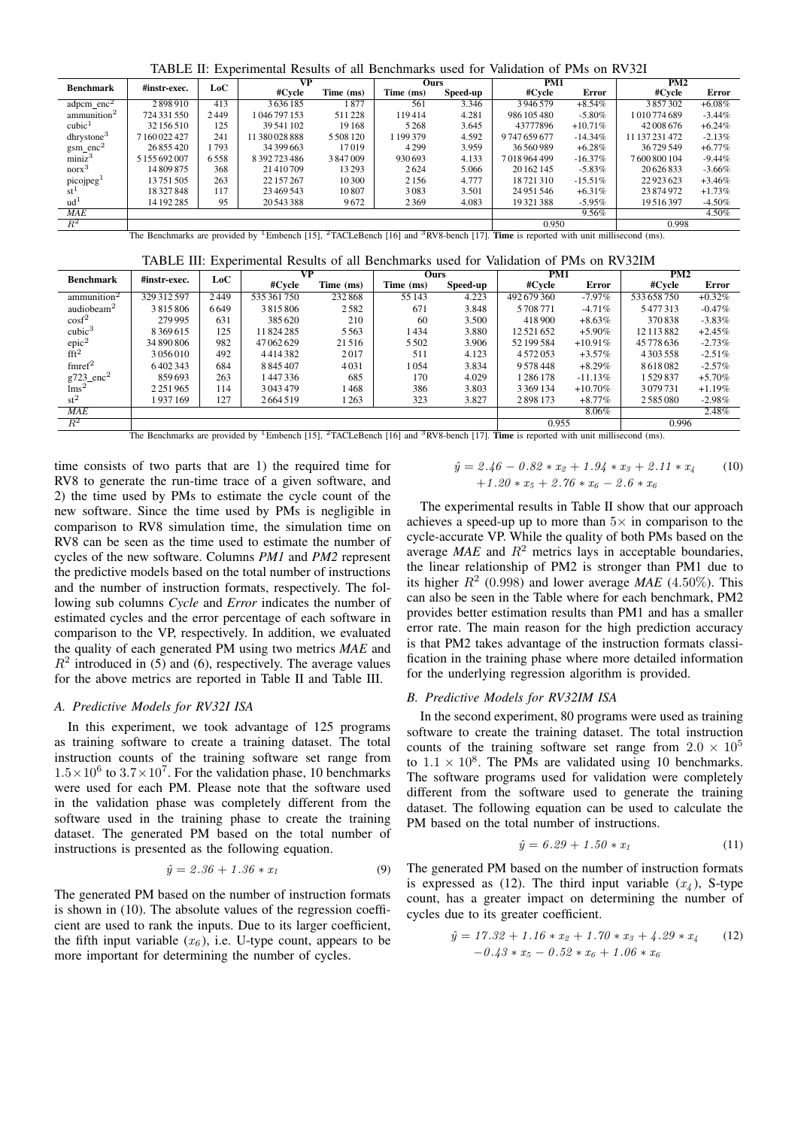TABLE II: Experimental Results of all Benchmarks used for Validation of PMs on RV32I

<span id="page-4-0"></span>

|                                           | #instr-exec.  | LoC  | VР             |           | <b>Ours</b> |          | PM1         |              | PM2            |           |
|-------------------------------------------|---------------|------|----------------|-----------|-------------|----------|-------------|--------------|----------------|-----------|
| <b>Benchmark</b>                          |               |      | #Cvcle         | Time (ms) | Time (ms)   | Speed-up | #Cvcle      | <b>Error</b> | #Cycle         | Error     |
| $adpcm$ _enc <sup>2</sup>                 | 2898910       | 413  | 3636185        | l 877     | 561         | 3.346    | 3946579     | $+8.54\%$    | 3857302        | $+6.08\%$ |
| ammunition <sup>2</sup>                   | 724 331 550   | 2449 | 1046797153     | 511228    | 119414      | 4.281    | 986 105 480 | $-5.80\%$    | 1010774689     | $-3.44%$  |
| cubic <sup>1</sup>                        | 32 156 510    | 125  | 39.541 102     | 19168     | 5268        | 3.645    | 43777896    | $+10.71%$    | 42 008 676     | $+6.24\%$ |
| dhrystone <sup>3</sup>                    | 7160022427    | 241  | 11 380 028 888 | 5508120   | 199379      | 4.592    | 9747659677  | $-14.34\%$   | 11 137 231 472 | $-2.13%$  |
|                                           | 26855420      | 793  | 34 399 663     | 17019     | 4299        | 3.959    | 36 560 989  | $+6.28\%$    | 36729549       | $+6.77\%$ |
| $g\text{sm\_enc}^2$<br>miniz <sup>3</sup> | 5 155 692 007 | 6558 | 8 392 723 486  | 3847009   | 930693      | 4.133    | 7018964499  | $-16.37\%$   | 7600800104     | $-9.44%$  |
| $n$ or $x^3$                              | 14809875      | 368  | 21410709       | 13293     | 2624        | 5.066    | 20 162 145  | $-5.83\%$    | 20 6 26 8 33   | $-3.66%$  |
| picojpeg <sup>1</sup>                     | 13751505      | 263  | 22 157 267     | 10300     | 2156        | 4.777    | 18721310    | $-15.51\%$   | 22923623       | $+3.46%$  |
| $st^{\perp}$                              | 18327848      | 117  | 23 469 543     | 10807     | 3083        | 3.501    | 24 951 546  | $+6.31\%$    | 23874972       | $+1.73%$  |
| ud <sup>1</sup>                           | 14 192 285    | 95   | 20543388       | 9672      | 2369        | 4.083    | 19321388    | $-5.95\%$    | 19516397       | $-4.50\%$ |
| <b>MAE</b>                                |               |      |                |           |             |          |             | 9.56%        |                | $4.50\%$  |
| $R^2$                                     |               |      |                |           |             |          | 0.950       |              | 0.998          |           |

The Benchmarks are provided by <sup>1</sup>Embench [\[15\]](#page-5-14), <sup>2</sup>TACLeBench [\[16\]](#page-5-15) and <sup>3</sup>RV8-bench [\[17\]](#page-5-16). **Time** is reported with unit millisecond (ms).

<span id="page-4-1"></span>

| <b>Benchmark</b>                             | #instr-exec.  | LoC  | $\overline{\mathbf{v}\mathbf{P}}$ |           | Ours      |          | PM1        |            | PM2           |           |
|----------------------------------------------|---------------|------|-----------------------------------|-----------|-----------|----------|------------|------------|---------------|-----------|
|                                              |               |      | #Cycle                            | Time (ms) | Time (ms) | Speed-up | #Cycle     | Error      | #Cvcle        | Error     |
| ammunition <sup>2</sup>                      | 329 312 597   | 2449 | 535 361 750                       | 232868    | 55 143    | 4.223    | 492679360  | $-7.97\%$  | 533 658 750   | $+0.32\%$ |
| audiobeam <sup>2</sup>                       | 3815806       | 6649 | 3815806                           | 2582      | 671       | 3.848    | 5708771    | $-4.71\%$  | 5477313       | $-0.47\%$ |
| $\cos f^2$                                   | 279995        | 631  | 385620                            | 210       | 60        | 3.500    | 418 900    | $+8.63\%$  | 370838        | $-3.83\%$ |
| cubic <sup>3</sup>                           | 8369615       | 125  | 11824285                          | 5563      | 1434      | 3.880    | 12521652   | $+5.90\%$  | 12 113 882    | $+2.45%$  |
| $\frac{\text{epic}^2}{\text{fft}^2}$         | 34 890 806    | 982  | 47 062 629                        | 21516     | 5502      | 3.906    | 52 199 584 | $+10.91\%$ | 45 778 636    | $-2.73%$  |
|                                              | 3056010       | 492  | 4414382                           | 2017      | 511       | 4.123    | 4572053    | $+3.57\%$  | 4 3 0 3 5 5 8 | $-2.51\%$ |
| $f$ mref $^2$                                | 6402343       | 684  | 8 8 4 5 4 0 7                     | 4031      | 1054      | 3.834    | 9578448    | $+8.29\%$  | 8618082       | $-2.57\%$ |
| $g723$ _enc <sup>2</sup><br>lms <sup>2</sup> | 859693        | 263  | 1447336                           | 685       | 170       | 4.029    | 1286178    | $-11.13%$  | 1529837       | $+5.70%$  |
|                                              | 2 2 5 1 9 6 5 | 114  | 3043479                           | 1468      | 386       | 3.803    | 3369134    | $+10.70\%$ | 3079731       | $+1.19%$  |
| $st^2$                                       | 1937169       | 127  | 2664519                           | 1 263     | 323       | 3.827    | 2898173    | $+8.77\%$  | 2585080       | $-2.98%$  |
| <b>MAE</b>                                   |               |      |                                   |           |           |          |            | 8.06%      |               | $2.48\%$  |
| $R^2$                                        |               |      |                                   |           |           |          | 0.955      |            | 0.996         |           |

The Benchmarks are provided by <sup>1</sup>Embench [\[15\]](#page-5-14), <sup>2</sup>TACLeBench [\[16\]](#page-5-15) and <sup>3</sup>RV8-bench [\[17\]](#page-5-16). **Time** is reported with unit millisecond (ms).

time consists of two parts that are 1) the required time for RV8 to generate the run-time trace of a given software, and 2) the time used by PMs to estimate the cycle count of the new software. Since the time used by PMs is negligible in comparison to RV8 simulation time, the simulation time on RV8 can be seen as the time used to estimate the number of cycles of the new software. Columns *PM1* and *PM2* represent the predictive models based on the total number of instructions and the number of instruction formats, respectively. The following sub columns *Cycle* and *Error* indicates the number of estimated cycles and the error percentage of each software in comparison to the VP, respectively. In addition, we evaluated the quality of each generated PM using two metrics *MAE* and  $R<sup>2</sup>$  introduced in [\(5\)](#page-3-0) and [\(6\)](#page-3-3), respectively. The average values for the above metrics are reported in Table [II](#page-4-0) and Table [III.](#page-4-1)

### *A. Predictive Models for RV32I ISA*

In this experiment, we took advantage of 125 programs as training software to create a training dataset. The total instruction counts of the training software set range from  $1.5 \times 10^6$  to  $3.7 \times 10^7$ . For the validation phase, 10 benchmarks were used for each PM. Please note that the software used in the validation phase was completely different from the software used in the training phase to create the training dataset. The generated PM based on the total number of instructions is presented as the following equation.

$$
\hat{y} = 2.36 + 1.36 * x_1 \tag{9}
$$

The generated PM based on the number of instruction formats is shown in [\(10\)](#page-4-2). The absolute values of the regression coefficient are used to rank the inputs. Due to its larger coefficient, the fifth input variable  $(x_6)$ , i.e. U-type count, appears to be more important for determining the number of cycles.

<span id="page-4-2"></span>
$$
\hat{y} = 2.46 - 0.82 * x_2 + 1.94 * x_3 + 2.11 * x_4
$$
\n
$$
+ 1.20 * x_5 + 2.76 * x_6 - 2.6 * x_6
$$
\n(10)

The experimental results in Table [II](#page-4-0) show that our approach achieves a speed-up up to more than  $5\times$  in comparison to the cycle-accurate VP. While the quality of both PMs based on the average  $MAE$  and  $R<sup>2</sup>$  metrics lays in acceptable boundaries, the linear relationship of PM2 is stronger than PM1 due to its higher  $R^2$  (0.998) and lower average *MAE* (4.50%). This can also be seen in the Table where for each benchmark, PM2 provides better estimation results than PM1 and has a smaller error rate. The main reason for the high prediction accuracy is that PM2 takes advantage of the instruction formats classification in the training phase where more detailed information for the underlying regression algorithm is provided.

#### *B. Predictive Models for RV32IM ISA*

In the second experiment, 80 programs were used as training software to create the training dataset. The total instruction counts of the training software set range from  $2.0 \times 10^5$ to  $1.1 \times 10^8$ . The PMs are validated using 10 benchmarks. The software programs used for validation were completely different from the software used to generate the training dataset. The following equation can be used to calculate the PM based on the total number of instructions.

<span id="page-4-3"></span>
$$
\hat{y} = 6.29 + 1.50 * x_1 \tag{11}
$$

The generated PM based on the number of instruction formats is expressed as [\(12\)](#page-4-3). The third input variable  $(x_4)$ , S-type count, has a greater impact on determining the number of cycles due to its greater coefficient.

$$
\hat{y} = 17.32 + 1.16 * x_2 + 1.70 * x_3 + 4.29 * x_4 \qquad (12)
$$

$$
-0.43 * x_5 - 0.52 * x_6 + 1.06 * x_6
$$